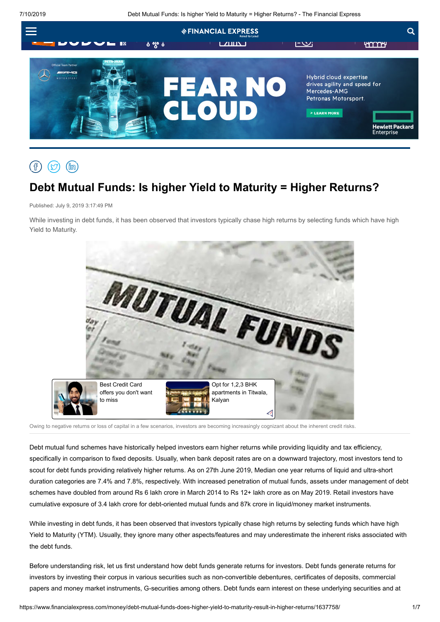7/10/2019 Debt Mutual Funds: Is higher Yield to Maturity = Higher Returns? - The Financial Express



## $(\nabla)$  $(\hat{m})$

# **Debt Mutual Funds: Is higher Yield to Maturity = Higher Returns?**

Published: July 9, 2019 3:17:49 PM

While investing in debt funds, it has been observed that investors typically chase high returns by selecting funds which have high Yield to Maturity.



Owing to negative returns or loss of capital in a few scenarios, investors are becoming increasingly cognizant about the inherent credit risks.

Debt mutual fund schemes have historically helped investors earn higher returns while providing liquidity and tax efficiency, specifically in comparison to fixed deposits. Usually, when bank deposit rates are on a downward trajectory, most investors tend to scout for debt funds providing relatively higher returns. As on 27th June 2019, Median one year returns of liquid and ultra-short duration categories are 7.4% and 7.8%, respectively. With increased penetration of mutual funds, assets under management of debt schemes have doubled from around Rs 6 lakh crore in March 2014 to Rs 12+ lakh crore as on May 2019. Retail investors have cumulative exposure of 3.4 lakh crore for debt-oriented mutual funds and 87k crore in liquid/money market instruments.

While investing in debt funds, it has been observed that investors typically chase high returns by selecting funds which have high Yield to Maturity (YTM). Usually, they ignore many other aspects/features and may underestimate the inherent risks associated with the debt funds.

Before understanding risk, let us first understand how debt funds generate returns for investors. Debt funds generate returns for investors by investing their corpus in various securities such as non-convertible debentures, certificates of deposits, commercial papers and money market instruments, G-securities among others. Debt funds earn interest on these underlying securities and at